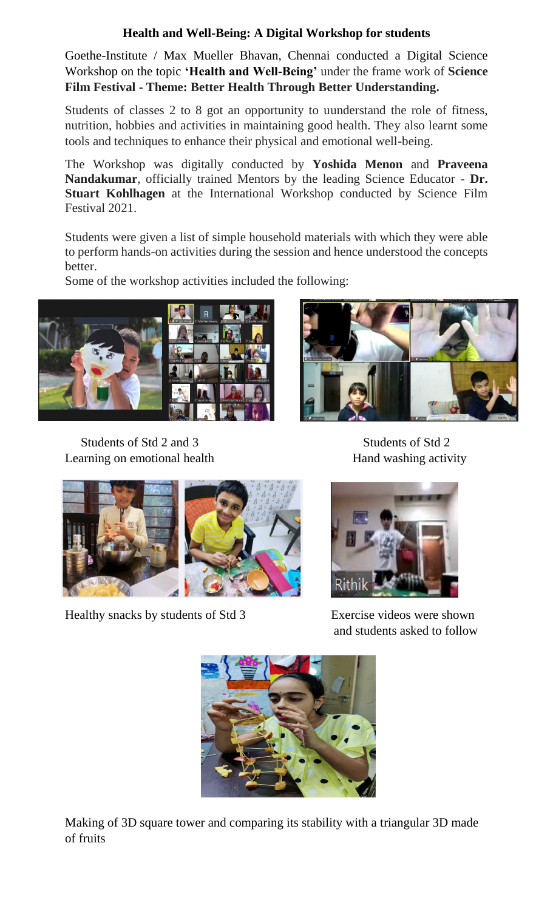## **Health and Well-Being: A Digital Workshop for students**

Goethe-Institute / Max Mueller Bhavan, Chennai conducted a Digital Science Workshop on the topic **'Health and Well-Being'** under the frame work of **Science Film Festival - Theme: Better Health Through Better Understanding.**

Students of classes 2 to 8 got an opportunity to uunderstand the role of fitness, nutrition, hobbies and activities in maintaining good health. They also learnt some tools and techniques to enhance their physical and emotional well-being.

The Workshop was digitally conducted by **Yoshida Menon** and **Praveena Nandakumar**, officially trained Mentors by the leading Science Educator - **Dr. Stuart Kohlhagen** at the International Workshop conducted by Science Film Festival 2021.

Students were given a list of simple household materials with which they were able to perform hands-on activities during the session and hence understood the concepts better.

Some of the workshop activities included the following:



Students of Std 2 and 3 Students of Std 2 Learning on emotional health Hand washing activity





Healthy snacks by students of Std 3 Exercise videos were shown



and students asked to follow



Making of 3D square tower and comparing its stability with a triangular 3D made of fruits